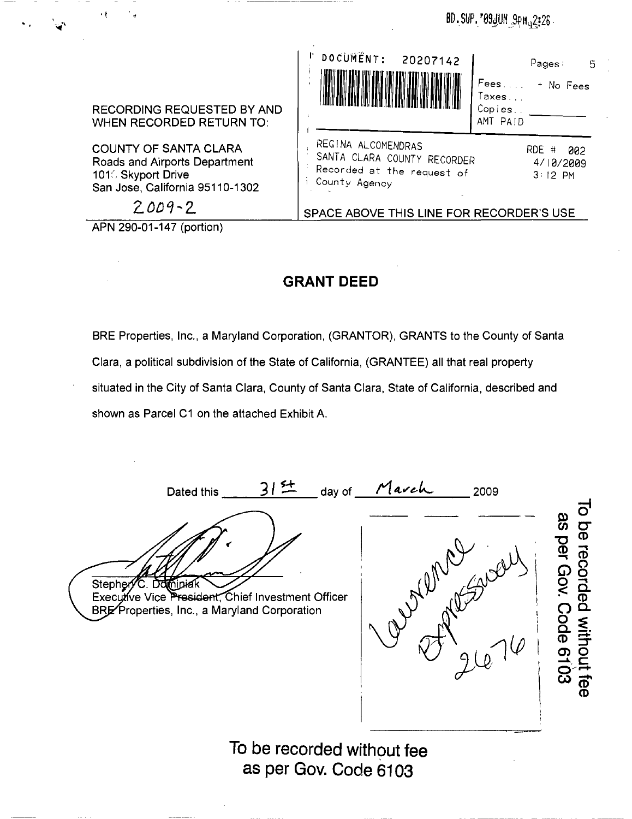BD.SUP. 709 JUN 9PM a2:26



APN 290-01-147 (portion)

## **GRANT DEED**

BRE Properties, Inc., a Maryland Corporation, (GRANTOR), GRANTS to the County of Santa Clara, a political subdivision of the State of California, (GRANTEE) all that real property situated in the City of Santa Clara, County of Santa Clara, State of California, described and shown as Parcel C1 on the attached Exhibit A.

Dated this \_\_ *....::::3:....;./\_!± \_* day of *\_....:.t1--=-4..\_t/\_e.-\_~ 2009* To be recorded without fee as per Gov. Code 6103 Nome well Stephen C. Dominiak Executive Vice President, Chief Investment Officer BRE Properties, Inc., a Maryland Corporation **To be recorded without fee as per Gov. Code 6103**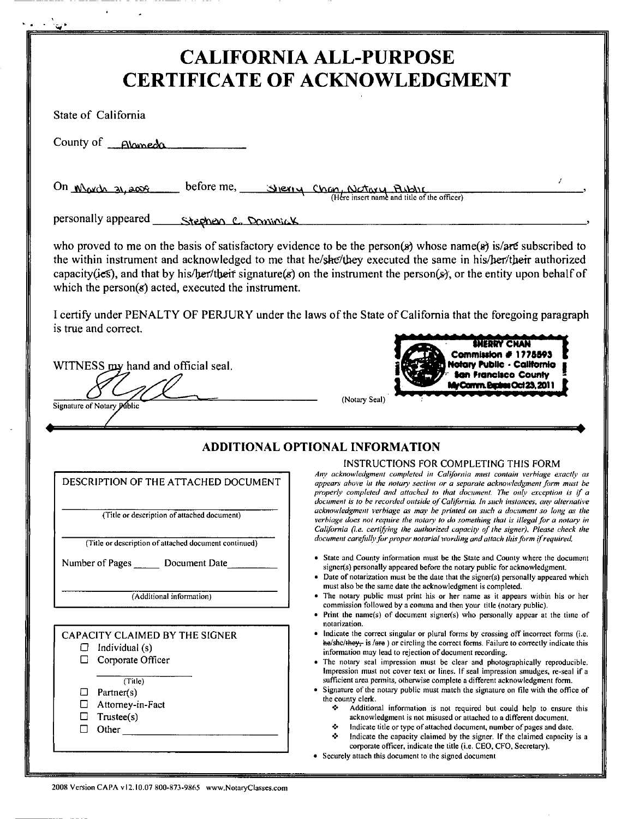|                                                                                                                                                                         | <b>CALIFORNIA ALL-PURPOSE</b><br><b>CERTIFICATE OF ACKNOWLEDGMENT</b>                                                                                                                                                                                                                                                                                                                                                                                                                                                                                                                                                                                                                                                                                                                                                                                                                                                                                                                                                                                                                     |
|-------------------------------------------------------------------------------------------------------------------------------------------------------------------------|-------------------------------------------------------------------------------------------------------------------------------------------------------------------------------------------------------------------------------------------------------------------------------------------------------------------------------------------------------------------------------------------------------------------------------------------------------------------------------------------------------------------------------------------------------------------------------------------------------------------------------------------------------------------------------------------------------------------------------------------------------------------------------------------------------------------------------------------------------------------------------------------------------------------------------------------------------------------------------------------------------------------------------------------------------------------------------------------|
| State of California                                                                                                                                                     |                                                                                                                                                                                                                                                                                                                                                                                                                                                                                                                                                                                                                                                                                                                                                                                                                                                                                                                                                                                                                                                                                           |
| County of <b>Alomeda</b>                                                                                                                                                |                                                                                                                                                                                                                                                                                                                                                                                                                                                                                                                                                                                                                                                                                                                                                                                                                                                                                                                                                                                                                                                                                           |
| On March 31, 2009                                                                                                                                                       | before me, Sheriy Chan, Notary Rubble                                                                                                                                                                                                                                                                                                                                                                                                                                                                                                                                                                                                                                                                                                                                                                                                                                                                                                                                                                                                                                                     |
| personally appeared<br>Stephen C. Dominick                                                                                                                              |                                                                                                                                                                                                                                                                                                                                                                                                                                                                                                                                                                                                                                                                                                                                                                                                                                                                                                                                                                                                                                                                                           |
| which the person $(s)$ acted, executed the instrument.                                                                                                                  | who proved to me on the basis of satisfactory evidence to be the person(s) whose name(s) is/are subscribed to<br>the within instrument and acknowledged to me that he/she/they executed the same in his/her/their authorized<br>capacity(ies), and that by his/her/their signature(s) on the instrument the person(s), or the entity upon behalf of                                                                                                                                                                                                                                                                                                                                                                                                                                                                                                                                                                                                                                                                                                                                       |
| is true and correct.                                                                                                                                                    | I certify under PENALTY OF PERJURY under the laws of the State of California that the foregoing paragraph                                                                                                                                                                                                                                                                                                                                                                                                                                                                                                                                                                                                                                                                                                                                                                                                                                                                                                                                                                                 |
| Signature of Notary Public                                                                                                                                              | <b>San Francisco County</b><br>My Comm. Expires Oct 23, 2011<br>(Notary Seal)                                                                                                                                                                                                                                                                                                                                                                                                                                                                                                                                                                                                                                                                                                                                                                                                                                                                                                                                                                                                             |
| DESCRIPTION OF THE ATTACHED DOCUMENT<br>(Title or description of attached document)<br>(Title or description of attached document continued)                            | <b>ADDITIONAL OPTIONAL INFORMATION</b><br>INSTRUCTIONS FOR COMPLETING THIS FORM<br>Any acknowledgment completed in California must contain verbiage exactly as<br>appears above in the notary section or a separate acknowledgment form must be<br>properly completed and attached to that document. The only exception is if a<br>document is to be recorded outside of California. In such instances, any alternative<br>acknowledgment verbiage as may be printed on such a document so long as the<br>verbiage does not require the notary to do something that is illegal for a notary in<br>California (i.e. certifying the authorized capacity of the signer). Please check the<br>document carefully for proper notarial wording and attach this form if required.<br>• State and County information must be the State and County where the document                                                                                                                                                                                                                              |
| Number of Pages<br>Document Date<br>(Additional information)                                                                                                            | signer(s) personally appeared before the notary public for acknowledgment.<br>• Date of notarization must be the date that the signer(s) personally appeared which<br>must also be the same date the acknowledgment is completed.<br>• The notary public must print his or her name as it appears within his or her<br>commission followed by a comma and then your title (notary public).<br>• Print the name(s) of document signer(s) who personally appear at the time of                                                                                                                                                                                                                                                                                                                                                                                                                                                                                                                                                                                                              |
| CAPACITY CLAIMED BY THE SIGNER<br>Individual (s)<br>□<br>Corporate Officer<br>□<br>(Title)<br>Partner(s)<br>ப<br>Attorney-in-Fact<br>□<br>Tnustee(s)<br>□<br>Other<br>□ | notarization.<br>• Indicate the correct singular or plural forms by crossing off incorrect forms (i.e.<br>$he/she/$ they, is / $ere$ ) or circling the correct forms. Failure to correctly indicate this<br>information may lead to rejection of document recording.<br>The notary seal impression must be clear and photographically reproducible.<br>Impression must not cover text or lines. If seal impression smudges, re-seal if a<br>sufficient area permits, otherwise complete a different acknowledgment form.<br>• Signature of the notary public must match the signature on file with the office of<br>the county clerk.<br>❖.<br>Additional information is not required but could help to ensure this<br>acknowledgment is not misused or attached to a different document.<br>Indicate title or type of attached document, number of pages and date.<br>❖<br>❖<br>Indicate the capacity claimed by the signer. If the claimed capacity is a<br>corporate officer, indicate the title (i.e. CEO, CFO, Secretary).<br>• Securely attach this document to the signed document |

..

 $\bar{\mathbf{r}}$ 

 $\lambda$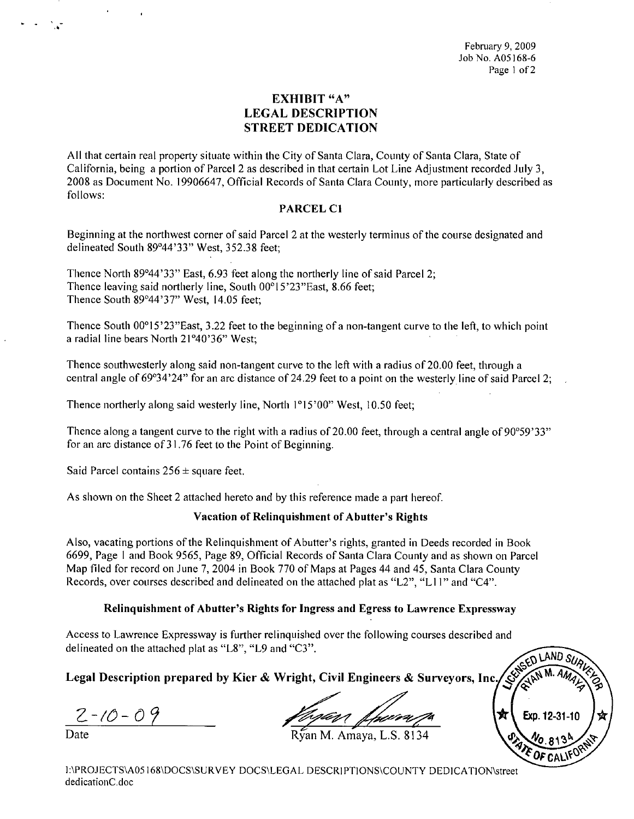February 9, 2009 Job No, A05168-6 Page 1 of 2

## EXHIBIT "A" LEGAL DESCRIPTION STREET DEDICATION

All that certain real property situate within the City of Santa Clara, County of Santa Clara, State of California, being a portion of Parcel 2 as described in that certain Lot Line Adjustment recorded July 3, 2008 as Document No, 19906647, Official Records of Santa Clara County, more particularly described as follows:

### PARCEL C1

Beginning at the northwest corner of said Parcel 2 at the westerly terminus of the course designated and delineated South 89°44'33" West, 352.38 feet;

Thence North 89°44'33" East, 6,93 feet along the northerly line of said Parcel 2; Thence leaving said northerly line, South  $00^{\circ}15'23''$  East, 8.66 feet; Thence South 89°44'37" West, 14,05 feet;

Thence South 00<sup>o</sup>15'23"East, 3.22 feet to the beginning of a non-tangent curve to the left, to which point a radial line bears North 21°40'36" West;

Thence southwesterly along said non-tangent curve to the left with a radius of 20.00 feet, through a central angle of 69°34'24" for an arc distance of 24.29 feet to a point on the westerlyline of said Parcel 2;

Thence northerly along said westerly line, North I°15'00" West, 10,50 feet;

Thence along a tangent curve to the right with a radius of 20.00 feet, through a central angle of  $90^{\circ}59'33"$ for an arc distance of 31.76 feet to the Point of Beginning.

Said Parcel contains  $256 \pm$  square feet.

As shown on the Sheet 2 attached hereto and by this reference made a part hereof.

#### Vacation of Relinquishment of Abutter's Rights

Also, vacating portions of the Relinquishment of Abutter's rights, granted in Deeds recorded in Book 6699, Page I and Book 9565, Page 89, Official Records of Santa Clara County and as shown on Parcel Map filed for record on June 7, 2004 in Book 770 of Maps at Pages 44 and 45, Santa Clara County Records, over courses described and delineated on the attached plat as "L2", "L II" and "C4",

#### Relinquishment of Abutter's Rights for Ingress and Egress to Lawrence Expressway

Access to Lawrence Expressway is further relinquished over the following courses described and delineated on the attached plat as "L8", "L9 and "C3",

Legal Description prepared by Kier & Wright, Civil Engineers & Surveyors, Inc.

*2-/()-09 ~~~*

,0

ran M. Amaya, L.S. 8134

I:\PROJECTS\A05168\DOCS\SURVEY DOCS\LEGAL DESCRIPTIONS\COUNTY DEDICATION\street dedicationC.doc

AND 3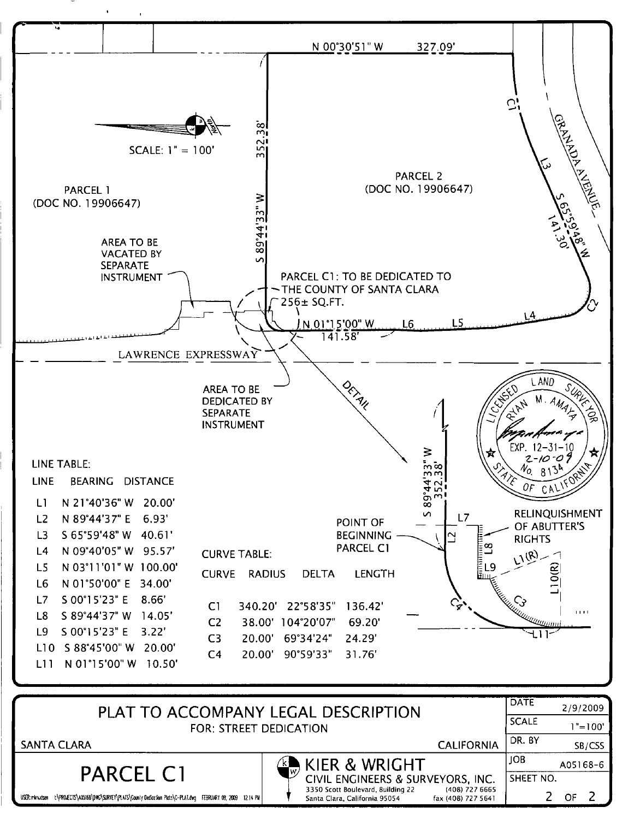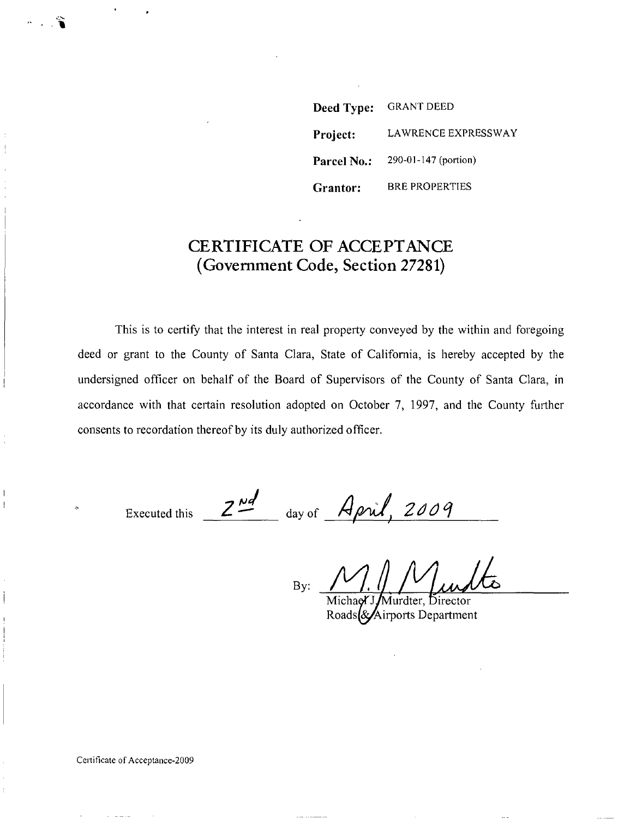**Deed Type:** GRANT DEED **Project:** LAWRENCE EXPRESSWAY **Parcel No.:** 290-01-147 (portion) **Grantor:** BRE PROPERTIES

# **CERTIFICATE OF ACCEPTANCE (Government Code, Section 27281)**

This is to certify that the interest in real property conveyed by the within and foregoing deed or grant to the County of Santa Clara, State of California, is hereby accepted by the undersigned officer **on** behalf of the Board of Supervisors of the County of Santa Clara, in accordance with that certain resolution adopted on October 7, 1997, and the County further consents to recordation thereof by its duly authorized officer.

Executed this  $2^{nd}$  day of *April*, 2009

By:

Murdter, Director Roads & Airports Department

**,.\_••... . ,**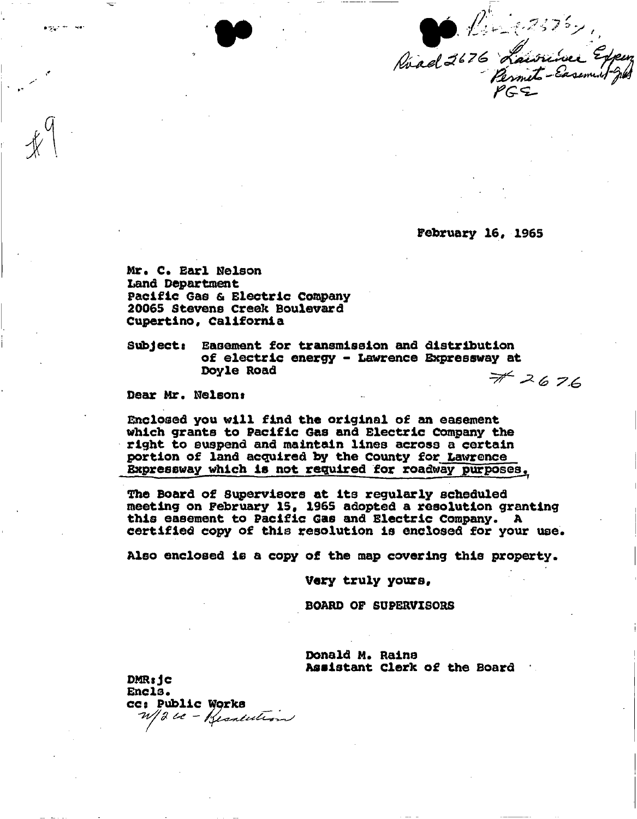Réad 2676 Laurine Expense

February 16, 1965

Mr. C. Earl Nelson Land Department Pacific Gas & Electric Company 20065 Stevens Creek Boulevard Cupertino, California

 $\texttt{Subject:}$ Easement for transmission and distribution of electric energy - Lawrence Expressway at Doyle Road  $#2676$ 

Dear Mr. Nelson:

argust for lives

Enclosed you will find the original of an easement which grants to Pacific Gas and Electric Company the right to suspend and maintain lines across a certain portion of land acquired by the County for Lawrence Expressway which is not required for roadway purposes.

The Board of Supervisors at its regularly scheduled meeting on February 15, 1965 adopted a resolution granting this easement to Pacific Gas and Electric Company. A certified copy of this resolution is enclosed for your use.

Also enclosed is a copy of the map covering this property.

Very truly yours.

**BOARD OF SUPERVISORS** 

Donald M. Rains Assistant Clerk of the Board

 $DMR:$ Encls. CC: Public Works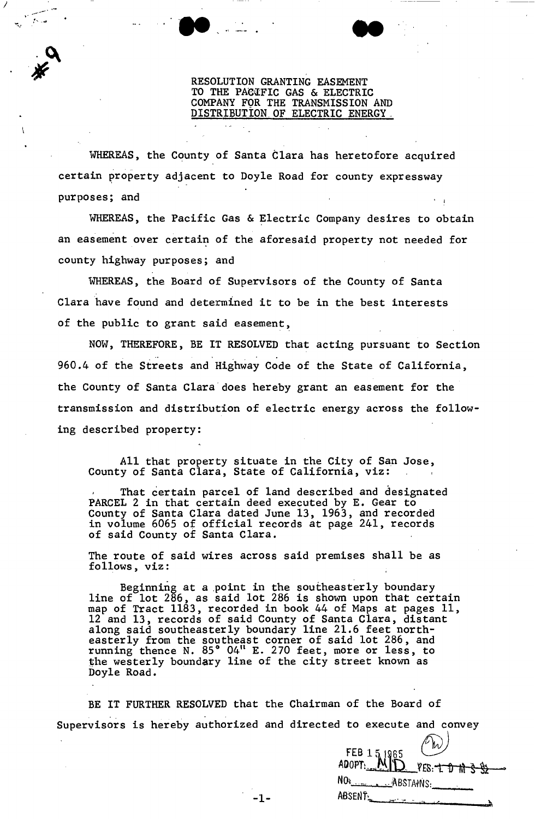### RESOLUTION GRANTING EASEMENT TO THE PACIFIC GAS & ELECTRIC COMPANY F9R THE TRANSMISSION AND DISTRIBUTION. OF ELECTRIC ENERGY ..

WHEREAS, the County of Santa Clara has heretofore acquired certain property adjacent to Doyle Road for county expressway purposes; and

/

,. :سر<br>ما ک

. ,~

WHEREAS, the Pacific Gas & Electric Company desires to obtain an easement over certain of the aforesaid property not needed for county highway purposes; and

WHEREAS, the Board of Supervisors of the County of Santa Clara have found and determined it to be in the best interests of the public to grant said easement,

NOW, THEREFORE, BE IT RESOLVED that acting pursuant to Section 960.4 of the Streets and Highway Code of the State of California, the County of Santa Clara does hereby grant an easement for the transmission and distribution of electric energy across the following described property:

All that property situate in the City of San Jose, County of Santa Clara, State of California, viz:

That certain parcel of land described and designated PARCEL 2 in that certain deed executed by E. Gear to County of Santa Clara dated June 13, 1963, and recorded in volume 6065 of official records at page 241, records of said County of Santa Clara.

The route of said wires across said premises shall be as follows, viz:

Beginning at a point in the southeasterly boundary line of lot 286, as said lot 286 is shown upon that certain map of Tract 1183, recorded in book 44 of Maps at pages 11, 12 and 13, records of said County of Santa Clara, distant along said southeasterly boundary line 21.6 feet northeasterly from the southeast corner of said lot 286, and running thence N. 85° 04<sup>11</sup> E. 270 feet, more or less, to the westerly boundary line of the city street known as Doyle Road.

BE IT FURTHER RESOLVED that the Chairman of the Board of . . ." Supervisors is hereby authorized and directed to execute and convey

|     | FEB 151965 VES: $\uparrow$ 0 m 3 32             |
|-----|-------------------------------------------------|
|     |                                                 |
|     | NO <sub>2</sub>                                 |
| -1- | ABSENT<br>$\sim 1000$ M $_{\odot}$ m $\sim 100$ |
|     |                                                 |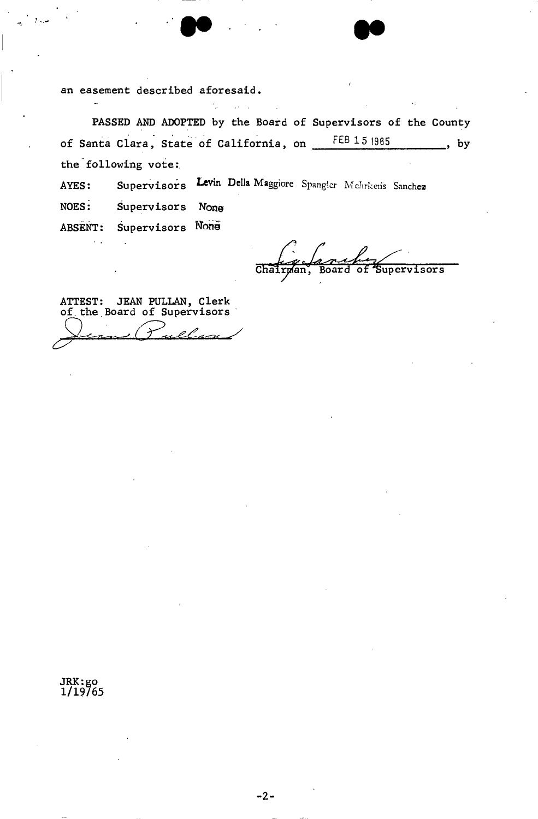an easement described aforesaid.

PASSED AND ADOPTED by the Board of Supervisors of the County of Santa Clara, State of California, on FEB 151985  $, by$ the following vote:

Supervisors Levin Della Maggiore Spangler Mehrkens Sanchez AYES:

NOES: Supervisors None

ABSENT: Supervisors None

 $\mathcal{L}$ 

 $\mathcal{L}_{\text{max}}$ 

Chair Supervisors Bo

ATTEST: JEAN PULLAN, Clerk<br>of the Board of Supervisors  $\lambda$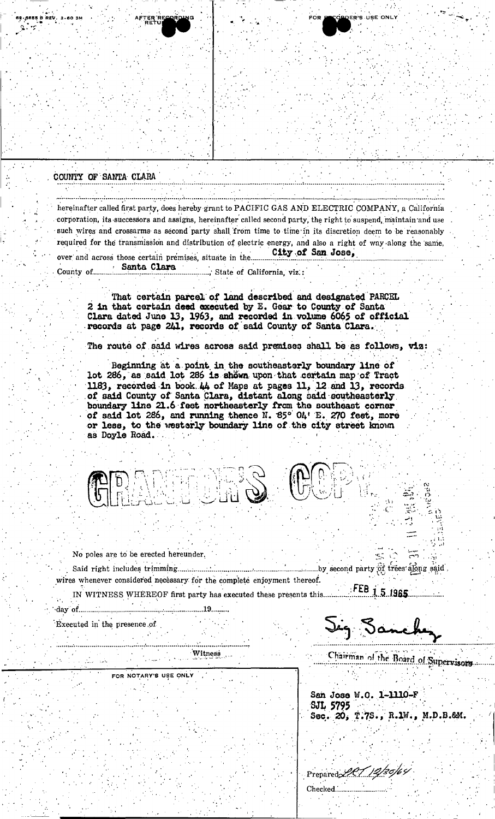## COUNTY OF SANTA CLARA

hereinafter called first party, does hereby grant to PACIFIC GAS AND ELECTRIC COMPANY, a California corporation, its successors and assigns, hereinafter called second party, the right to suspend, maintain and use such wires and crossarms as second party shall from time to time in its discretion deem to be reasonably required for the transmission and distribution of electric energy, and also a right of way along the same, City of San Jose, over and across those certain premises, situate in the.........

County of.............

> That certain parcel of land described and designated PARCEL 2 in that certain deed executed by E. Gear to County of Santa Clara dated June 13, 1963, and recorded in volume 6065 of official records at page 241, records of said County of Santa Clara.

The route of said wires across said premises shall be as follows, viz:

Beginning at a point in the southeasterly boundary line of lot 286, as said lot 286 is shown upon that certain map of Tract 1183, recorded in book 44 of Maps at pages 11, 12 and 13, records of said County of Santa Clara, distant along said southeasterly boundary line 21.6 feet northeasterly from the southeast corner of said lot 286, and running thence N. 85° OA' E. 270 feet, more or less, to the westerly boundary line of the city street known as Doyle Road.

No poles are to be erected hereunder.

wires whenever considered necessary for the complete enjoyment thereof. FEB 1.5.1965

IN WITNESS WHEREOF first party has executed these presents this... 

Executed in the presence of

Jig Sanch

DER'S USE ON

Witness ...

FOR NOTARY'S USE ONLY

Chairman of the Board of Supervisors

San Jose W.O. 1-1110-F **SJL 5795** Sec. 20, T.7S., R.1W., M.D.B.&M.

Prepared 20112/30/64 Checked........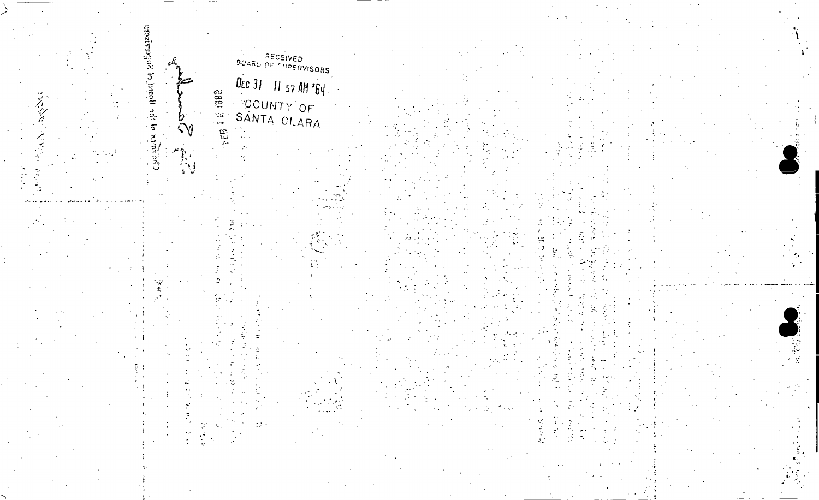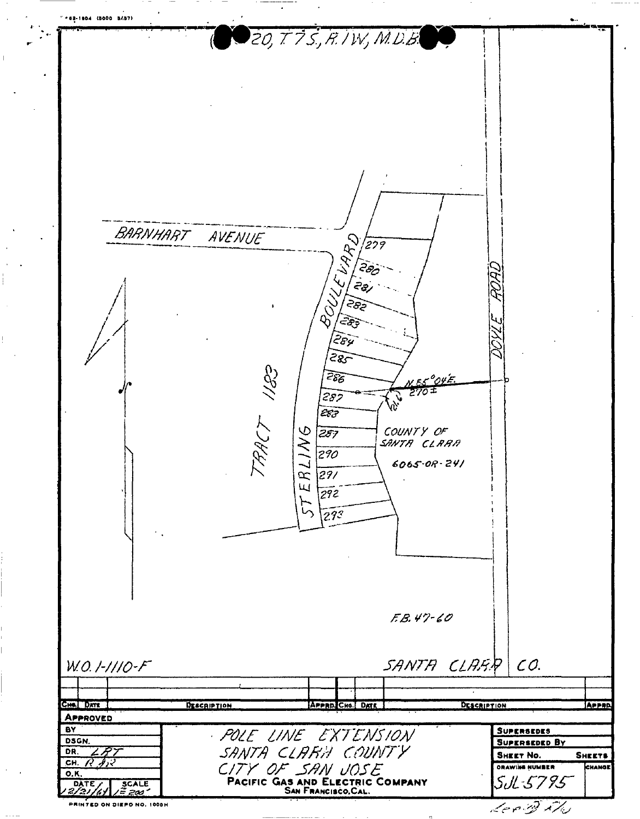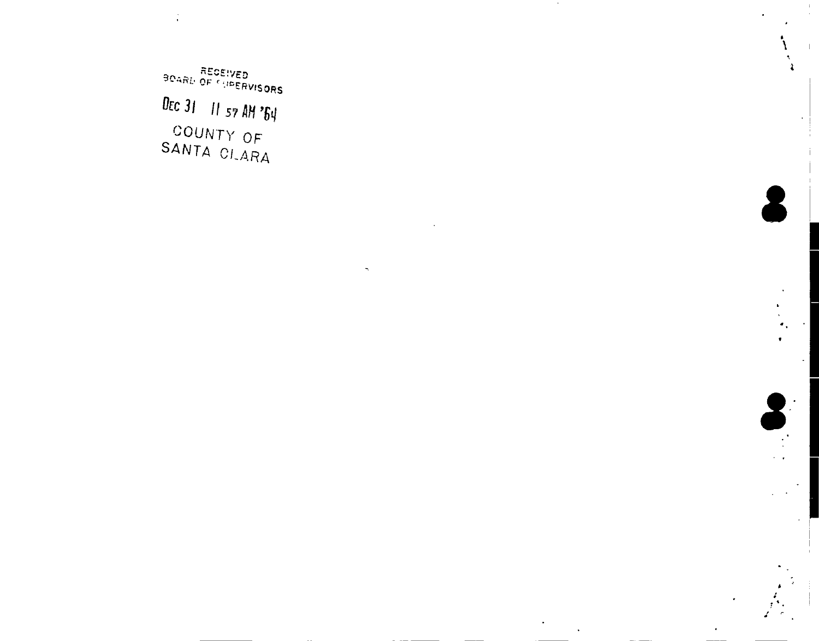**RECEIVED**<br>BOARL OF SUPERVISORS DEC 31 11 57 AM '64 COUNTY OF<br>SANTA CLARA



2

 $\sim$   $\sim$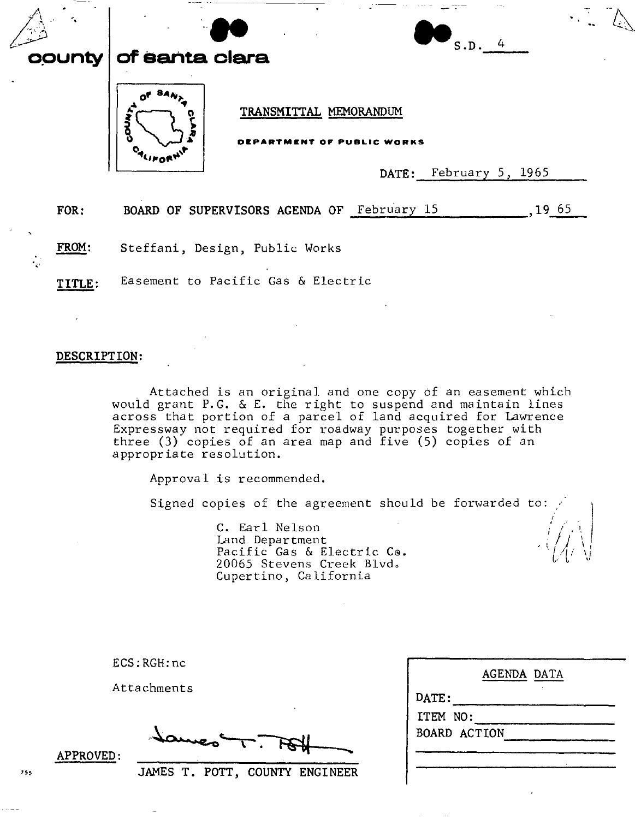|                        | county | $\mathcal{P}^{\mathcal{A}}$<br>of santa clara |                                            |  | S.D. 4                 |        |  |
|------------------------|--------|-----------------------------------------------|--------------------------------------------|--|------------------------|--------|--|
|                        |        | 3                                             | TRANSMITTAL MEMORANDUM<br>AF PURL          |  | DATE: February 5, 1965 |        |  |
|                        | FOR:   |                                               | BOARD OF SUPERVISORS AGENDA OF February 15 |  |                        | ,19,65 |  |
| FROM:<br>$\frac{1}{2}$ |        | Steffani, Design, Public Works                |                                            |  |                        |        |  |
|                        | TITLE: | Easement to Pacific Gas & Electric            |                                            |  |                        |        |  |

#### DESCRIPTION:

. Attached is an original and one copy of an easement which would grant P.G. & E. the right to suspend and maintain lines across that portion of a parcel of land acquired for Lawrence Expressway not required for roadway purposes together with three (3) copies of an area map and five (5) copies of an appropriate resolution.

Approval is recommended.

Signed copies of the agreement should be forwarded to:

C. Earl Nelson Land Department Pacific Gas & Electric Co. 20065 Stevens Creek Blvd. Cupertino, California

ECS:RGH:nc

Attachments

 $\Gamma.$ 

JAMES T. POTT, COUNTY ENGINEER

AGENDA DATA DATE: ITEM NO: BOARD ACTION

*I*

 $\left(\sqrt{I}\right)^{1/2}$ , i. (  $I$  ,  $\ldots$  I.  $U \cup V$ 

APPROVED: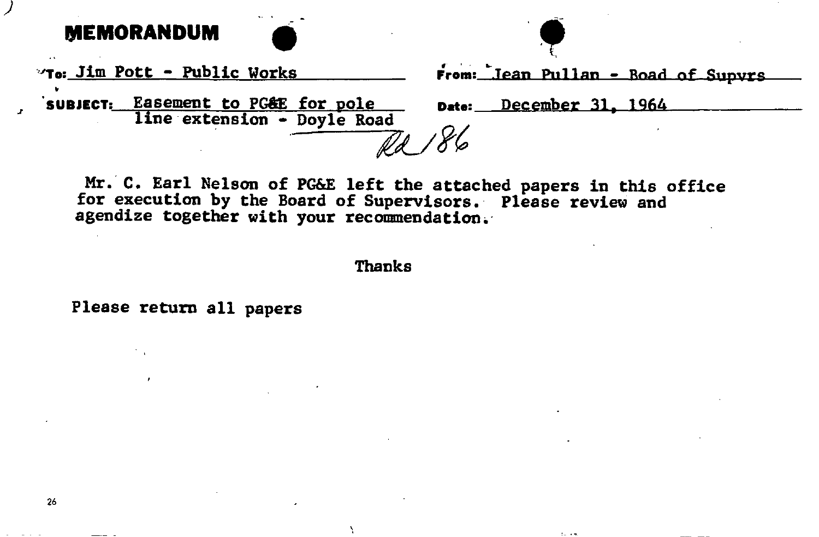**MEMORANDUM** 



To: Jim Pott - Public Works

From: Jean Pullan - Boad of Sunyrs

subject: Easement to PG&E for pole line extension - Doyle Road

December 31, 1964 Date:

 $\mathbf{1}_{\mathbf{1}_{\mathbf{2}}}\rightarrow\mathbf{1}_{\mathbf{2}_{\mathbf{2}}}$ 

Mr. C. Earl Nelson of PG&E left the attached papers in this office for execution by the Board of Supervisors. Please review and agendize together with your recommendation.

**Thanks** 

Please return all papers